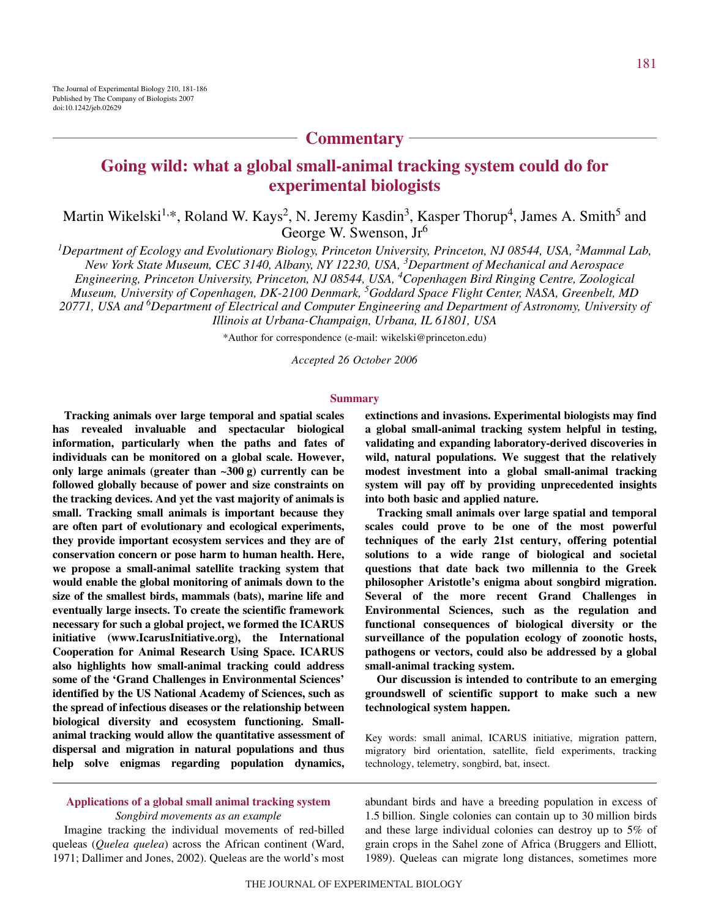## **Commentary**

# **Going wild: what a global small-animal tracking system could do for experimental biologists**

Martin Wikelski<sup>1,\*</sup>, Roland W. Kays<sup>2</sup>, N. Jeremy Kasdin<sup>3</sup>, Kasper Thorup<sup>4</sup>, James A. Smith<sup>5</sup> and George W. Swenson, Jr<sup>6</sup>

<sup>1</sup>Department of Ecology and Evolutionary Biology, Princeton University, Princeton, NJ 08544, USA, <sup>2</sup>Mammal Lab, *New York State Museum, CEC 3140, Albany, NY 12230, USA, <sup>3</sup> Department of Mechanical and Aerospace Engineering, Princeton University, Princeton, NJ 08544, USA, <sup>4</sup> Copenhagen Bird Ringing Centre, Zoological Museum, University of Copenhagen, DK-2100 Denmark, <sup>5</sup> Goddard Space Flight Center, NASA, Greenbelt, MD*

*20771, USA and 6 Department of Electrical and Computer Engineering and Department of Astronomy, University of Illinois at Urbana-Champaign, Urbana, IL 61801, USA*

\*Author for correspondence (e-mail: wikelski@princeton.edu)

*Accepted 26 October 2006*

#### **Summary**

**Tracking animals over large temporal and spatial scales has revealed invaluable and spectacular biological information, particularly when the paths and fates of individuals can be monitored on a global scale. However,** only large animals (greater than  $\sim 300 \text{ g}$ ) currently can be **followed globally because of power and size constraints on the tracking devices. And yet the vast majority of animals is small. Tracking small animals is important because they are often part of evolutionary and ecological experiments, they provide important ecosystem services and they are of conservation concern or pose harm to human health. Here, we propose a small-animal satellite tracking system that would enable the global monitoring of animals down to the size of the smallest birds, mammals (bats), marine life and eventually large insects. To create the scientific framework necessary for such a global project, we formed the ICARUS initiative (www.IcarusInitiative.org), the International Cooperation for Animal Research Using Space. ICARUS also highlights how small-animal tracking could address some of the 'Grand Challenges in Environmental Sciences' identified by the US National Academy of Sciences, such as the spread of infectious diseases or the relationship between biological diversity and ecosystem functioning. Smallanimal tracking would allow the quantitative assessment of dispersal and migration in natural populations and thus help solve enigmas regarding population dynamics,** **extinctions and invasions. Experimental biologists may find a global small-animal tracking system helpful in testing, validating and expanding laboratory-derived discoveries in wild, natural populations. We suggest that the relatively modest investment into a global small-animal tracking system will pay off by providing unprecedented insights into both basic and applied nature.**

**Tracking small animals over large spatial and temporal scales could prove to be one of the most powerful techniques of the early 21st century, offering potential solutions to a wide range of biological and societal questions that date back two millennia to the Greek philosopher Aristotle's enigma about songbird migration. Several of the more recent Grand Challenges in Environmental Sciences, such as the regulation and functional consequences of biological diversity or the surveillance of the population ecology of zoonotic hosts, pathogens or vectors, could also be addressed by a global small-animal tracking system.**

**Our discussion is intended to contribute to an emerging groundswell of scientific support to make such a new technological system happen.**

Key words: small animal, ICARUS initiative, migration pattern, migratory bird orientation, satellite, field experiments, tracking technology, telemetry, songbird, bat, insect.

### **Applications of a global small animal tracking system** *Songbird movements as an example*

Imagine tracking the individual movements of red-billed queleas (*Quelea quelea*) across the African continent (Ward, 1971; Dallimer and Jones, 2002). Queleas are the world's most abundant birds and have a breeding population in excess of 1.5 billion. Single colonies can contain up to 30 million birds and these large individual colonies can destroy up to 5% of grain crops in the Sahel zone of Africa (Bruggers and Elliott, 1989). Queleas can migrate long distances, sometimes more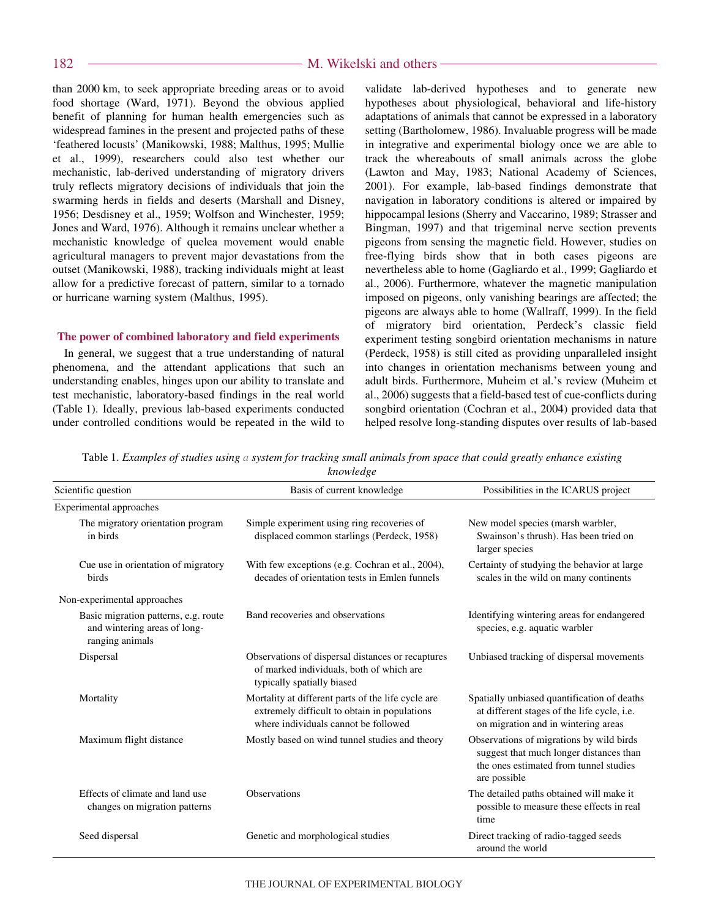than 2000 km, to seek appropriate breeding areas or to avoid food shortage (Ward, 1971). Beyond the obvious applied benefit of planning for human health emergencies such as widespread famines in the present and projected paths of these 'feathered locusts' (Manikowski, 1988; Malthus, 1995; Mullie et al., 1999), researchers could also test whether our mechanistic, lab-derived understanding of migratory drivers truly reflects migratory decisions of individuals that join the swarming herds in fields and deserts (Marshall and Disney, 1956; Desdisney et al., 1959; Wolfson and Winchester, 1959; Jones and Ward, 1976). Although it remains unclear whether a mechanistic knowledge of quelea movement would enable agricultural managers to prevent major devastations from the outset (Manikowski, 1988), tracking individuals might at least allow for a predictive forecast of pattern, similar to a tornado or hurricane warning system (Malthus, 1995).

### **The power of combined laboratory and field experiments**

In general, we suggest that a true understanding of natural phenomena, and the attendant applications that such an understanding enables, hinges upon our ability to translate and test mechanistic, laboratory-based findings in the real world (Table 1). Ideally, previous lab-based experiments conducted under controlled conditions would be repeated in the wild to validate lab-derived hypotheses and to generate new hypotheses about physiological, behavioral and life-history adaptations of animals that cannot be expressed in a laboratory setting (Bartholomew, 1986). Invaluable progress will be made in integrative and experimental biology once we are able to track the whereabouts of small animals across the globe (Lawton and May, 1983; National Academy of Sciences, 2001). For example, lab-based findings demonstrate that navigation in laboratory conditions is altered or impaired by hippocampal lesions (Sherry and Vaccarino, 1989; Strasser and Bingman, 1997) and that trigeminal nerve section prevents pigeons from sensing the magnetic field. However, studies on free-flying birds show that in both cases pigeons are nevertheless able to home (Gagliardo et al., 1999; Gagliardo et al., 2006). Furthermore, whatever the magnetic manipulation imposed on pigeons, only vanishing bearings are affected; the pigeons are always able to home (Wallraff, 1999). In the field of migratory bird orientation, Perdeck's classic field experiment testing songbird orientation mechanisms in nature (Perdeck, 1958) is still cited as providing unparalleled insight into changes in orientation mechanisms between young and adult birds. Furthermore, Muheim et al.'s review (Muheim et al., 2006) suggests that a field-based test of cue-conflicts during songbird orientation (Cochran et al., 2004) provided data that helped resolve long-standing disputes over results of lab-based

Table 1. Examples of studies using a system for tracking small animals from space that could greatly enhance existing *knowledge*

| Scientific question                                                                     | Basis of current knowledge                                                                                                                  | Possibilities in the ICARUS project                                                                                                           |
|-----------------------------------------------------------------------------------------|---------------------------------------------------------------------------------------------------------------------------------------------|-----------------------------------------------------------------------------------------------------------------------------------------------|
| Experimental approaches                                                                 |                                                                                                                                             |                                                                                                                                               |
| The migratory orientation program<br>in birds                                           | Simple experiment using ring recoveries of<br>displaced common starlings (Perdeck, 1958)                                                    | New model species (marsh warbler,<br>Swainson's thrush). Has been tried on<br>larger species                                                  |
| Cue use in orientation of migratory<br>birds                                            | With few exceptions (e.g. Cochran et al., 2004),<br>decades of orientation tests in Emlen funnels                                           | Certainty of studying the behavior at large<br>scales in the wild on many continents                                                          |
| Non-experimental approaches                                                             |                                                                                                                                             |                                                                                                                                               |
| Basic migration patterns, e.g. route<br>and wintering areas of long-<br>ranging animals | Band recoveries and observations                                                                                                            | Identifying wintering areas for endangered<br>species, e.g. aquatic warbler                                                                   |
| Dispersal                                                                               | Observations of dispersal distances or recaptures<br>of marked individuals, both of which are<br>typically spatially biased                 | Unbiased tracking of dispersal movements                                                                                                      |
| Mortality                                                                               | Mortality at different parts of the life cycle are.<br>extremely difficult to obtain in populations<br>where individuals cannot be followed | Spatially unbiased quantification of deaths<br>at different stages of the life cycle, i.e.<br>on migration and in wintering areas             |
| Maximum flight distance                                                                 | Mostly based on wind tunnel studies and theory                                                                                              | Observations of migrations by wild birds<br>suggest that much longer distances than<br>the ones estimated from tunnel studies<br>are possible |
| Effects of climate and land use<br>changes on migration patterns                        | <b>Observations</b>                                                                                                                         | The detailed paths obtained will make it<br>possible to measure these effects in real<br>time                                                 |
| Seed dispersal                                                                          | Genetic and morphological studies                                                                                                           | Direct tracking of radio-tagged seeds<br>around the world                                                                                     |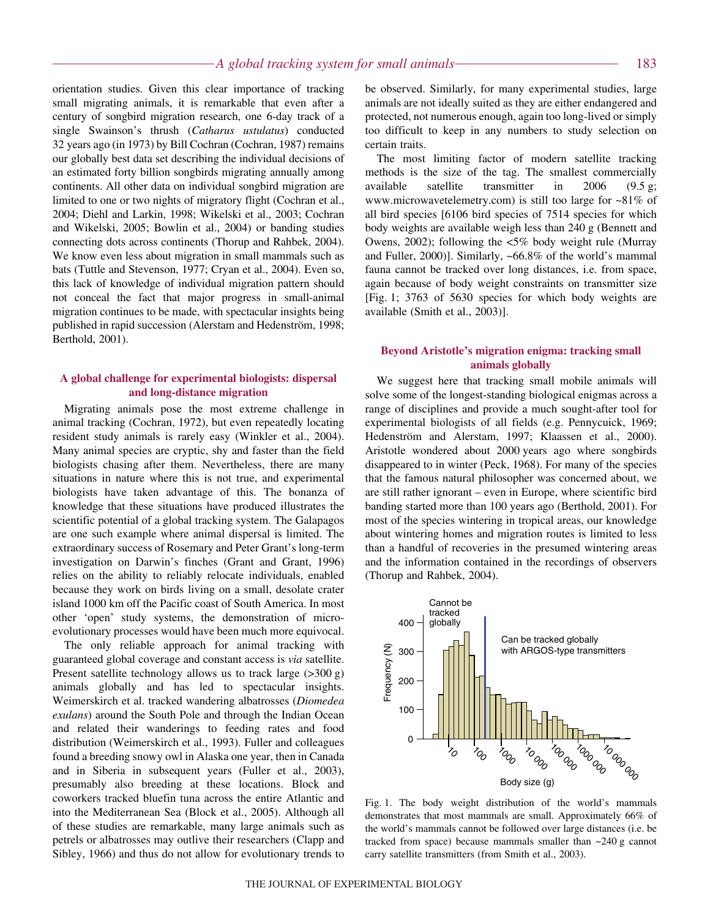orientation studies. Given this clear importance of tracking small migrating animals, it is remarkable that even after a century of songbird migration research, one 6-day track of a single Swainson's thrush (*Catharus ustulatus*) conducted 32 years ago (in 1973) by Bill Cochran (Cochran, 1987) remains our globally best data set describing the individual decisions of an estimated forty billion songbirds migrating annually among continents. All other data on individual songbird migration are limited to one or two nights of migratory flight (Cochran et al., 2004; Diehl and Larkin, 1998; Wikelski et al., 2003; Cochran and Wikelski, 2005; Bowlin et al., 2004) or banding studies connecting dots across continents (Thorup and Rahbek, 2004). We know even less about migration in small mammals such as bats (Tuttle and Stevenson, 1977; Cryan et al., 2004). Even so, this lack of knowledge of individual migration pattern should not conceal the fact that major progress in small-animal migration continues to be made, with spectacular insights being published in rapid succession (Alerstam and Hedenström, 1998; Berthold, 2001).

### **A global challenge for experimental biologists: dispersal and long-distance migration**

Migrating animals pose the most extreme challenge in animal tracking (Cochran, 1972), but even repeatedly locating resident study animals is rarely easy (Winkler et al., 2004). Many animal species are cryptic, shy and faster than the field biologists chasing after them. Nevertheless, there are many situations in nature where this is not true, and experimental biologists have taken advantage of this. The bonanza of knowledge that these situations have produced illustrates the scientific potential of a global tracking system. The Galapagos are one such example where animal dispersal is limited. The extraordinary success of Rosemary and Peter Grant's long-term investigation on Darwin's finches (Grant and Grant, 1996) relies on the ability to reliably relocate individuals, enabled because they work on birds living on a small, desolate crater island 1000 km off the Pacific coast of South America. In most other 'open' study systems, the demonstration of microevolutionary processes would have been much more equivocal.

The only reliable approach for animal tracking with guaranteed global coverage and constant access is *via* satellite. Present satellite technology allows us to track large  $(>300 \text{ g})$ animals globally and has led to spectacular insights. Weimerskirch et al. tracked wandering albatrosses (*Diomedea exulans*) around the South Pole and through the Indian Ocean and related their wanderings to feeding rates and food distribution (Weimerskirch et al., 1993). Fuller and colleagues found a breeding snowy owl in Alaska one year, then in Canada and in Siberia in subsequent years (Fuller et al., 2003), presumably also breeding at these locations. Block and coworkers tracked bluefin tuna across the entire Atlantic and into the Mediterranean Sea (Block et al., 2005). Although all of these studies are remarkable, many large animals such as petrels or albatrosses may outlive their researchers (Clapp and Sibley, 1966) and thus do not allow for evolutionary trends to be observed. Similarly, for many experimental studies, large animals are not ideally suited as they are either endangered and protected, not numerous enough, again too long-lived or simply too difficult to keep in any numbers to study selection on certain traits.

The most limiting factor of modern satellite tracking methods is the size of the tag. The smallest commercially available satellite transmitter in  $2006$  (9.5 g; www.microwavetelemetry.com) is still too large for ~81% of all bird species [6106 bird species of 7514 species for which body weights are available weigh less than 240 g (Bennett and Owens, 2002); following the <5% body weight rule (Murray and Fuller, 2000)]. Similarly, ~66.8% of the world's mammal fauna cannot be tracked over long distances, i.e. from space, again because of body weight constraints on transmitter size [Fig. 1; 3763 of 5630 species for which body weights are available (Smith et al., 2003)].

### **Beyond Aristotle's migration enigma: tracking small animals globally**

We suggest here that tracking small mobile animals will solve some of the longest-standing biological enigmas across a range of disciplines and provide a much sought-after tool for experimental biologists of all fields (e.g. Pennycuick, 1969; Hedenström and Alerstam, 1997; Klaassen et al., 2000). Aristotle wondered about 2000 years ago where songbirds disappeared to in winter (Peck, 1968). For many of the species that the famous natural philosopher was concerned about, we are still rather ignorant – even in Europe, where scientific bird banding started more than 100 years ago (Berthold, 2001). For most of the species wintering in tropical areas, our knowledge about wintering homes and migration routes is limited to less than a handful of recoveries in the presumed wintering areas and the information contained in the recordings of observers (Thorup and Rahbek, 2004).



Fig. 1. The body weight distribution of the world's mammals demonstrates that most mammals are small. Approximately 66% of the world's mammals cannot be followed over large distances (i.e. be tracked from space) because mammals smaller than  $\sim$ 240 g cannot carry satellite transmitters (from Smith et al., 2003).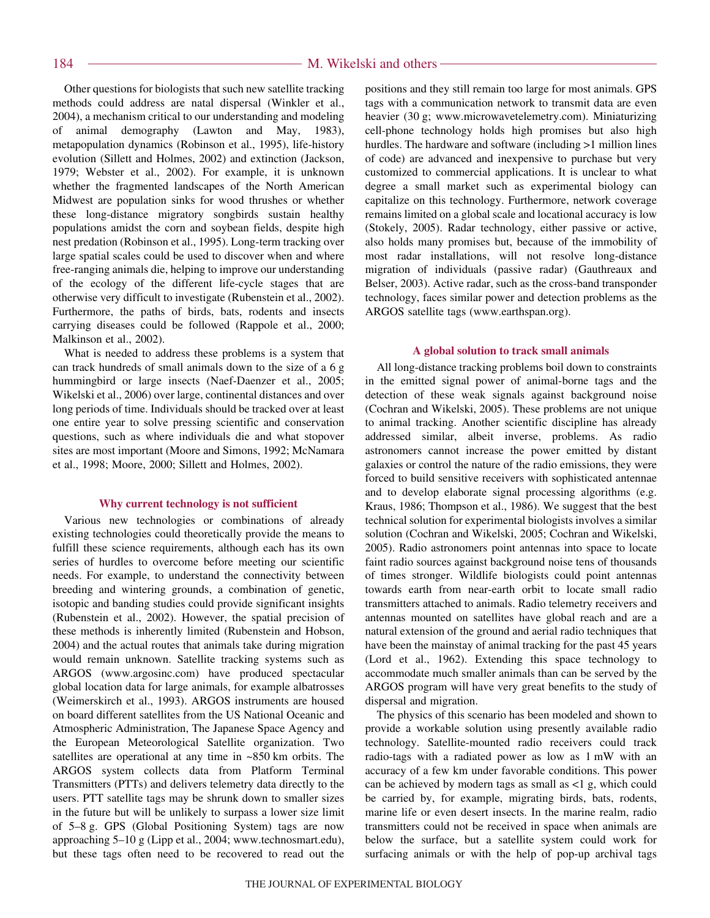Other questions for biologists that such new satellite tracking methods could address are natal dispersal (Winkler et al., 2004), a mechanism critical to our understanding and modeling of animal demography (Lawton and May, 1983), metapopulation dynamics (Robinson et al., 1995), life-history evolution (Sillett and Holmes, 2002) and extinction (Jackson, 1979; Webster et al., 2002). For example, it is unknown whether the fragmented landscapes of the North American Midwest are population sinks for wood thrushes or whether these long-distance migratory songbirds sustain healthy populations amidst the corn and soybean fields, despite high nest predation (Robinson et al., 1995). Long-term tracking over large spatial scales could be used to discover when and where free-ranging animals die, helping to improve our understanding of the ecology of the different life-cycle stages that are otherwise very difficult to investigate (Rubenstein et al., 2002). Furthermore, the paths of birds, bats, rodents and insects carrying diseases could be followed (Rappole et al., 2000; Malkinson et al., 2002).

What is needed to address these problems is a system that can track hundreds of small animals down to the size of a 6 g hummingbird or large insects (Naef-Daenzer et al., 2005; Wikelski et al., 2006) over large, continental distances and over long periods of time. Individuals should be tracked over at least one entire year to solve pressing scientific and conservation questions, such as where individuals die and what stopover sites are most important (Moore and Simons, 1992; McNamara et al., 1998; Moore, 2000; Sillett and Holmes, 2002).

#### **Why current technology is not sufficient**

Various new technologies or combinations of already existing technologies could theoretically provide the means to fulfill these science requirements, although each has its own series of hurdles to overcome before meeting our scientific needs. For example, to understand the connectivity between breeding and wintering grounds, a combination of genetic, isotopic and banding studies could provide significant insights (Rubenstein et al., 2002). However, the spatial precision of these methods is inherently limited (Rubenstein and Hobson, 2004) and the actual routes that animals take during migration would remain unknown. Satellite tracking systems such as ARGOS (www.argosinc.com) have produced spectacular global location data for large animals, for example albatrosses (Weimerskirch et al., 1993). ARGOS instruments are housed on board different satellites from the US National Oceanic and Atmospheric Administration, The Japanese Space Agency and the European Meteorological Satellite organization. Two satellites are operational at any time in  $~850~km$  orbits. The ARGOS system collects data from Platform Terminal Transmitters (PTTs) and delivers telemetry data directly to the users. PTT satellite tags may be shrunk down to smaller sizes in the future but will be unlikely to surpass a lower size limit of 5–8 g. GPS (Global Positioning System) tags are now approaching 5-10 g (Lipp et al., 2004; www.technosmart.edu), but these tags often need to be recovered to read out the positions and they still remain too large for most animals. GPS tags with a communication network to transmit data are even heavier (30 g; www.microwavetelemetry.com). Miniaturizing cell-phone technology holds high promises but also high hurdles. The hardware and software (including  $>1$  million lines of code) are advanced and inexpensive to purchase but very customized to commercial applications. It is unclear to what degree a small market such as experimental biology can capitalize on this technology. Furthermore, network coverage remains limited on a global scale and locational accuracy is low (Stokely, 2005). Radar technology, either passive or active, also holds many promises but, because of the immobility of most radar installations, will not resolve long-distance migration of individuals (passive radar) (Gauthreaux and Belser, 2003). Active radar, such as the cross-band transponder technology, faces similar power and detection problems as the ARGOS satellite tags (www.earthspan.org).

#### **A global solution to track small animals**

All long-distance tracking problems boil down to constraints in the emitted signal power of animal-borne tags and the detection of these weak signals against background noise (Cochran and Wikelski, 2005). These problems are not unique to animal tracking. Another scientific discipline has already addressed similar, albeit inverse, problems. As radio astronomers cannot increase the power emitted by distant galaxies or control the nature of the radio emissions, they were forced to build sensitive receivers with sophisticated antennae and to develop elaborate signal processing algorithms (e.g. Kraus, 1986; Thompson et al., 1986). We suggest that the best technical solution for experimental biologists involves a similar solution (Cochran and Wikelski, 2005; Cochran and Wikelski, 2005). Radio astronomers point antennas into space to locate faint radio sources against background noise tens of thousands of times stronger. Wildlife biologists could point antennas towards earth from near-earth orbit to locate small radio transmitters attached to animals. Radio telemetry receivers and antennas mounted on satellites have global reach and are a natural extension of the ground and aerial radio techniques that have been the mainstay of animal tracking for the past 45 years (Lord et al., 1962). Extending this space technology to accommodate much smaller animals than can be served by the ARGOS program will have very great benefits to the study of dispersal and migration.

The physics of this scenario has been modeled and shown to provide a workable solution using presently available radio technology. Satellite-mounted radio receivers could track radio-tags with a radiated power as low as  $1 \text{ mW}$  with an accuracy of a few km under favorable conditions. This power can be achieved by modern tags as small as  $\langle 1, g \rangle$ , which could be carried by, for example, migrating birds, bats, rodents, marine life or even desert insects. In the marine realm, radio transmitters could not be received in space when animals are below the surface, but a satellite system could work for surfacing animals or with the help of pop-up archival tags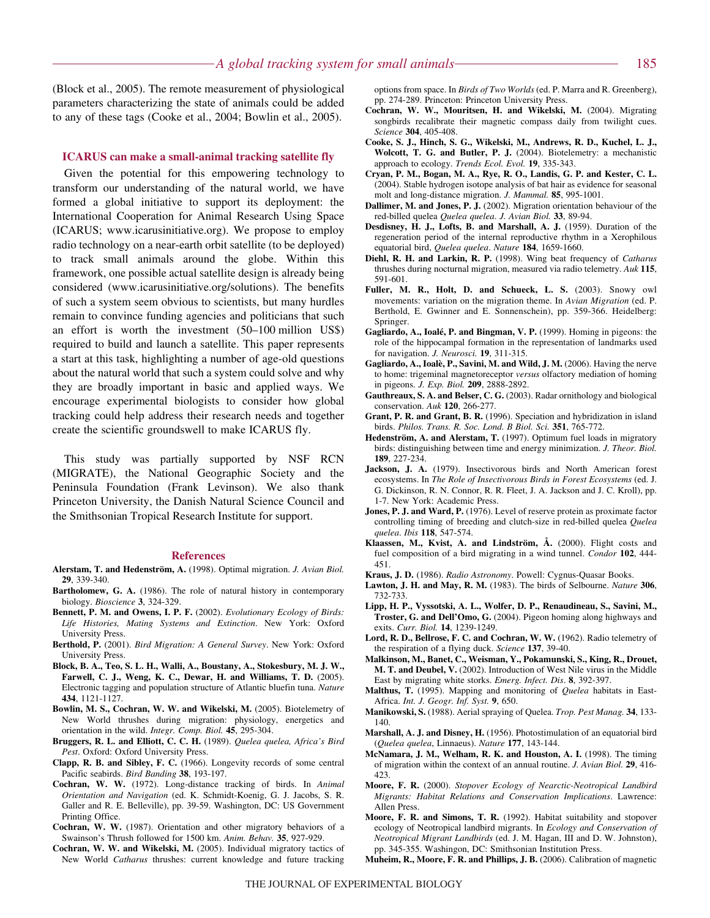(Block et al., 2005). The remote measurement of physiological parameters characterizing the state of animals could be added to any of these tags (Cooke et al., 2004; Bowlin et al., 2005).

### **ICARUS can make a small-animal tracking satellite fly**

Given the potential for this empowering technology to transform our understanding of the natural world, we have formed a global initiative to support its deployment: the International Cooperation for Animal Research Using Space (ICARUS; www.icarusinitiative.org). We propose to employ radio technology on a near-earth orbit satellite (to be deployed) to track small animals around the globe. Within this framework, one possible actual satellite design is already being considered (www.icarusinitiative.org/solutions). The benefits of such a system seem obvious to scientists, but many hurdles remain to convince funding agencies and politicians that such an effort is worth the investment  $(50-100$  million US\$) required to build and launch a satellite. This paper represents a start at this task, highlighting a number of age-old questions about the natural world that such a system could solve and why they are broadly important in basic and applied ways. We encourage experimental biologists to consider how global tracking could help address their research needs and together create the scientific groundswell to make ICARUS fly.

This study was partially supported by NSF RCN (MIGRATE), the National Geographic Society and the Peninsula Foundation (Frank Levinson). We also thank Princeton University, the Danish Natural Science Council and the Smithsonian Tropical Research Institute for support.

#### **References**

- **Alerstam, T. and Hedenström, A.** (1998). Optimal migration. *J. Avian Biol.* **29**, 339-340.
- **Bartholomew, G. A.** (1986). The role of natural history in contemporary biology. *Bioscience* **3**, 324-329.
- **Bennett, P. M. and Owens, I. P. F.** (2002). *Evolutionary Ecology of Birds: Life Histories, Mating Systems and Extinction*. New York: Oxford University Press.
- **Berthold, P.** (2001). *Bird Migration: A General Survey*. New York: Oxford University Press.
- **Block, B. A., Teo, S. L. H., Walli, A., Boustany, A., Stokesbury, M. J. W., Farwell, C. J., Weng, K. C., Dewar, H. and Williams, T. D.** (2005). Electronic tagging and population structure of Atlantic bluefin tuna. *Nature* **434**, 1121-1127.
- **Bowlin, M. S., Cochran, W. W. and Wikelski, M.** (2005). Biotelemetry of New World thrushes during migration: physiology, energetics and orientation in the wild. *Integr. Comp. Biol.* **45**, 295-304.
- **Bruggers, R. L. and Elliott, C. C. H.** (1989). *Quelea quelea, Africa's Bird Pest*. Oxford: Oxford University Press.
- **Clapp, R. B. and Sibley, F. C.** (1966). Longevity records of some central Pacific seabirds. *Bird Banding* **38**, 193-197.
- **Cochran, W. W.** (1972). Long-distance tracking of birds. In *Animal Orientation and Navigation* (ed. K. Schmidt-Koenig, G. J. Jacobs, S. R. Galler and R. E. Belleville), pp. 39-59. Washington, DC: US Government Printing Office.
- **Cochran, W. W.** (1987). Orientation and other migratory behaviors of a Swainson's Thrush followed for 1500 km. *Anim. Behav.* **35**, 927-929.
- **Cochran, W. W. and Wikelski, M.** (2005). Individual migratory tactics of New World *Catharus* thrushes: current knowledge and future tracking

options from space. In *Birds of Two Worlds* (ed. P. Marra and R. Greenberg), pp. 274-289. Princeton: Princeton University Press.

- **Cochran, W. W., Mouritsen, H. and Wikelski, M.** (2004). Migrating songbirds recalibrate their magnetic compass daily from twilight cues. *Science* **304**, 405-408.
- **Cooke, S. J., Hinch, S. G., Wikelski, M., Andrews, R. D., Kuchel, L. J., Wolcott, T. G. and Butler, P. J.** (2004). Biotelemetry: a mechanistic approach to ecology. *Trends Ecol. Evol.* **19**, 335-343.
- **Cryan, P. M., Bogan, M. A., Rye, R. O., Landis, G. P. and Kester, C. L.** (2004). Stable hydrogen isotope analysis of bat hair as evidence for seasonal molt and long-distance migration. *J. Mammal.* **85**, 995-1001.
- **Dallimer, M. and Jones, P. J.** (2002). Migration orientation behaviour of the red-billed quelea *Quelea quelea*. *J. Avian Biol.* **33**, 89-94.
- **Desdisney, H. J., Lofts, B. and Marshall, A. J.** (1959). Duration of the regeneration period of the internal reproductive rhythm in a Xerophilous equatorial bird, *Quelea quelea*. *Nature* **184**, 1659-1660.
- **Diehl, R. H. and Larkin, R. P.** (1998). Wing beat frequency of *Catharus* thrushes during nocturnal migration, measured via radio telemetry. *Auk* **115**, 591-601.
- **Fuller, M. R., Holt, D. and Schueck, L. S.** (2003). Snowy owl movements: variation on the migration theme. In *Avian Migration* (ed. P. Berthold, E. Gwinner and E. Sonnenschein), pp. 359-366. Heidelberg: Springer.
- **Gagliardo, A., Ioalé, P. and Bingman, V. P.** (1999). Homing in pigeons: the role of the hippocampal formation in the representation of landmarks used for navigation. *J. Neurosci.* **19**, 311-315.
- **Gagliardo, A., Ioalè, P., Savini, M. and Wild, J. M.** (2006). Having the nerve to home: trigeminal magnetoreceptor *versus* olfactory mediation of homing in pigeons. *J. Exp. Biol.* **209**, 2888-2892.
- **Gauthreaux, S. A. and Belser, C. G.** (2003). Radar ornithology and biological conservation. *Auk* **120**, 266-277.
- **Grant, P. R. and Grant, B. R.** (1996). Speciation and hybridization in island birds. *Philos. Trans. R. Soc. Lond. B Biol. Sci.* **351**, 765-772.
- **Hedenström, A. and Alerstam, T.** (1997). Optimum fuel loads in migratory birds: distinguishing between time and energy minimization. *J. Theor. Biol.* **189**, 227-234.
- **Jackson, J. A.** (1979). Insectivorous birds and North American forest ecosystems. In *The Role of Insectivorous Birds in Forest Ecosystems* (ed. J. G. Dickinson, R. N. Connor, R. R. Fleet, J. A. Jackson and J. C. Kroll), pp. 1-7. New York: Academic Press.
- **Jones, P. J. and Ward, P.** (1976). Level of reserve protein as proximate factor controlling timing of breeding and clutch-size in red-billed quelea *Quelea quelea*. *Ibis* **118**, 547-574.
- **Klaassen, M., Kvist, A. and Lindström, Å.** (2000). Flight costs and fuel composition of a bird migrating in a wind tunnel. *Condor* **102**, 444- 451.
- **Kraus, J. D.** (1986). *Radio Astronomy*. Powell: Cygnus-Quasar Books.
- **Lawton, J. H. and May, R. M.** (1983). The birds of Selbourne. *Nature* **306**, 732-733.
- **Lipp, H. P., Vyssotski, A. L., Wolfer, D. P., Renaudineau, S., Savini, M., Troster, G. and Dell'Omo, G.** (2004). Pigeon homing along highways and exits. *Curr. Biol.* **14**, 1239-1249.
- **Lord, R. D., Bellrose, F. C. and Cochran, W. W.** (1962). Radio telemetry of the respiration of a flying duck. *Science* **137**, 39-40.
- **Malkinson, M., Banet, C., Weisman, Y., Pokamunski, S., King, R., Drouet, M. T. and Deubel, V.** (2002). Introduction of West Nile virus in the Middle East by migrating white storks. *Emerg. Infect. Dis*. **8**, 392-397.
- **Malthus, T.** (1995). Mapping and monitoring of *Quelea* habitats in East-Africa. *Int. J. Geogr. Inf. Syst.* **9**, 650.
- **Manikowski, S.** (1988). Aerial spraying of Quelea. *Trop. Pest Manag.* **34**, 133- 140.
- **Marshall, A. J. and Disney, H.** (1956). Photostimulation of an equatorial bird (*Quelea quelea*, Linnaeus). *Nature* **177**, 143-144.
- **McNamara, J. M., Welham, R. K. and Houston, A. I.** (1998). The timing of migration within the context of an annual routine. *J. Avian Biol.* **29**, 416- 423.
- **Moore, F. R.** (2000). *Stopover Ecology of Nearctic-Neotropical Landbird Migrants: Habitat Relations and Conservation Implications*. Lawrence: Allen Press.
- **Moore, F. R. and Simons, T. R.** (1992). Habitat suitability and stopover ecology of Neotropical landbird migrants. In *Ecology and Conservation of Neotropical Migrant Landbirds* (ed. J. M. Hagan, III and D. W. Johnston), pp. 345-355. Washingon, DC: Smithsonian Institution Press.
- **Muheim, R., Moore, F. R. and Phillips, J. B.** (2006). Calibration of magnetic